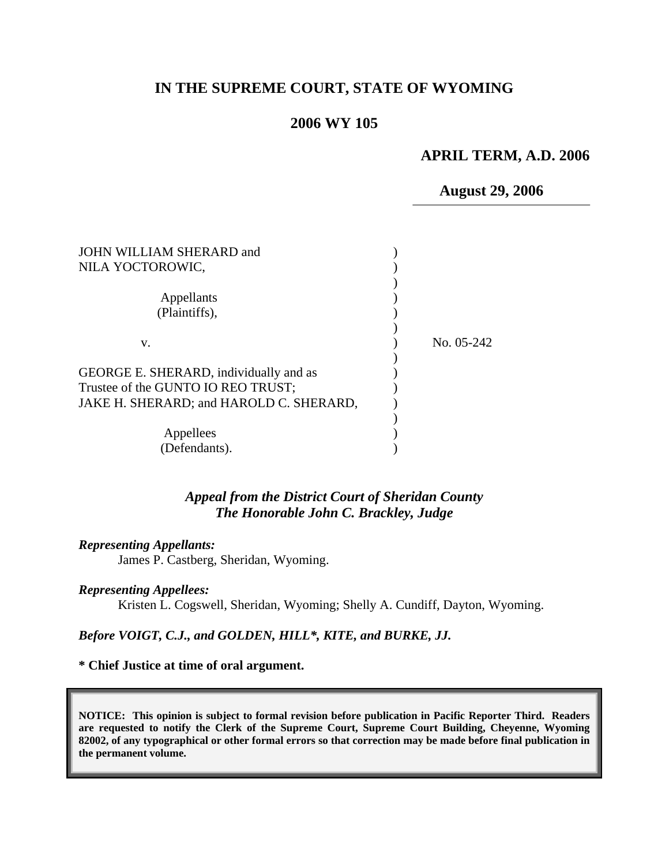## **IN THE SUPREME COURT, STATE OF WYOMING**

## **2006 WY 105**

### **APRIL TERM, A.D. 2006**

**August 29, 2006**

| JOHN WILLIAM SHERARD and                |            |
|-----------------------------------------|------------|
| NILA YOCTOROWIC,                        |            |
|                                         |            |
| Appellants                              |            |
| (Plaintiffs),                           |            |
|                                         |            |
| V.                                      | No. 05-242 |
|                                         |            |
| GEORGE E. SHERARD, individually and as  |            |
| Trustee of the GUNTO IO REO TRUST;      |            |
| JAKE H. SHERARD; and HAROLD C. SHERARD, |            |
|                                         |            |
| Appellees                               |            |
| (Defendants).                           |            |

### *Appeal from the District Court of Sheridan County The Honorable John C. Brackley, Judge*

#### *Representing Appellants:*

James P. Castberg, Sheridan, Wyoming.

#### *Representing Appellees:*

Kristen L. Cogswell, Sheridan, Wyoming; Shelly A. Cundiff, Dayton, Wyoming.

#### *Before VOIGT, C.J., and GOLDEN, HILL\*, KITE, and BURKE, JJ.*

#### **\* Chief Justice at time of oral argument.**

**NOTICE: This opinion is subject to formal revision before publication in Pacific Reporter Third. Readers are requested to notify the Clerk of the Supreme Court, Supreme Court Building, Cheyenne, Wyoming 82002, of any typographical or other formal errors so that correction may be made before final publication in the permanent volume.**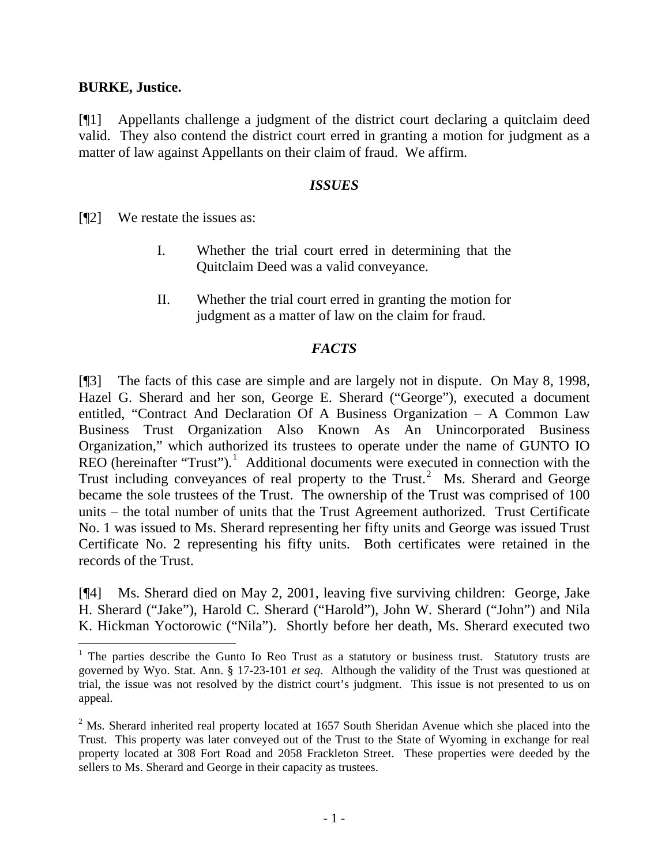### **BURKE, Justice.**

 $\overline{a}$ 

[¶1] Appellants challenge a judgment of the district court declaring a quitclaim deed valid. They also contend the district court erred in granting a motion for judgment as a matter of law against Appellants on their claim of fraud. We affirm.

### *ISSUES*

[¶2] We restate the issues as:

- I. Whether the trial court erred in determining that the Quitclaim Deed was a valid conveyance.
- II. Whether the trial court erred in granting the motion for judgment as a matter of law on the claim for fraud.

## *FACTS*

[¶3] The facts of this case are simple and are largely not in dispute. On May 8, 1998, Hazel G. Sherard and her son, George E. Sherard ("George"), executed a document entitled, "Contract And Declaration Of A Business Organization – A Common Law Business Trust Organization Also Known As An Unincorporated Business Organization," which authorized its trustees to operate under the name of GUNTO IO  $REO$  (hereinafter "Trust").<sup>[1](#page-1-0)</sup> Additional documents were executed in connection with the Trust including conveyances of real property to the Trust.<sup>[2](#page-1-1)</sup> Ms. Sherard and George became the sole trustees of the Trust. The ownership of the Trust was comprised of 100 units – the total number of units that the Trust Agreement authorized. Trust Certificate No. 1 was issued to Ms. Sherard representing her fifty units and George was issued Trust Certificate No. 2 representing his fifty units. Both certificates were retained in the records of the Trust.

[¶4] Ms. Sherard died on May 2, 2001, leaving five surviving children: George, Jake H. Sherard ("Jake"), Harold C. Sherard ("Harold"), John W. Sherard ("John") and Nila K. Hickman Yoctorowic ("Nila"). Shortly before her death, Ms. Sherard executed two

<span id="page-1-0"></span><sup>&</sup>lt;sup>1</sup> The parties describe the Gunto Io Reo Trust as a statutory or business trust. Statutory trusts are governed by Wyo. Stat. Ann. § 17-23-101 *et seq*. Although the validity of the Trust was questioned at trial, the issue was not resolved by the district court's judgment. This issue is not presented to us on appeal.

<span id="page-1-1"></span> $2^2$  Ms. Sherard inherited real property located at 1657 South Sheridan Avenue which she placed into the Trust. This property was later conveyed out of the Trust to the State of Wyoming in exchange for real property located at 308 Fort Road and 2058 Frackleton Street. These properties were deeded by the sellers to Ms. Sherard and George in their capacity as trustees.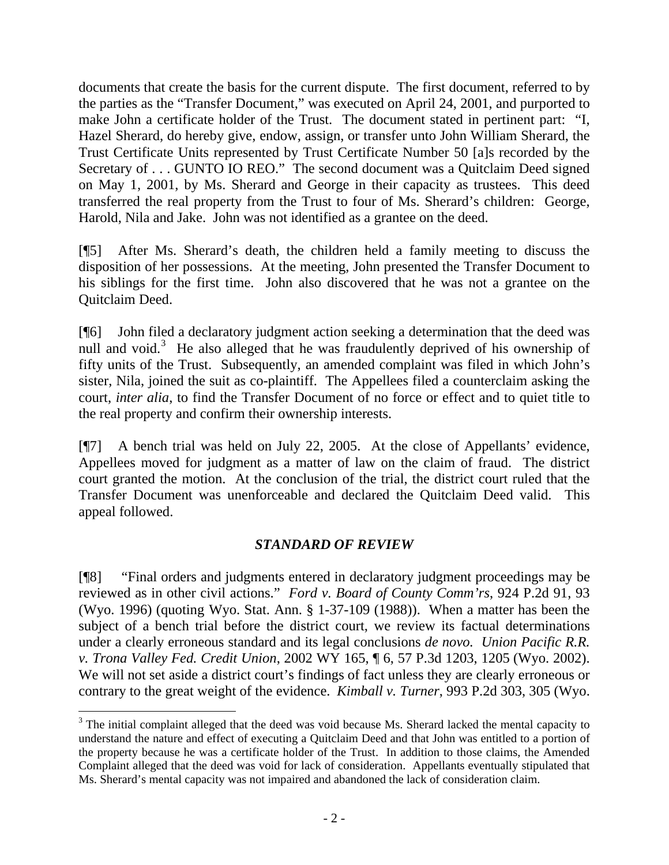documents that create the basis for the current dispute. The first document, referred to by the parties as the "Transfer Document," was executed on April 24, 2001, and purported to make John a certificate holder of the Trust. The document stated in pertinent part: "I, Hazel Sherard, do hereby give, endow, assign, or transfer unto John William Sherard, the Trust Certificate Units represented by Trust Certificate Number 50 [a]s recorded by the Secretary of . . . GUNTO IO REO." The second document was a Quitclaim Deed signed on May 1, 2001, by Ms. Sherard and George in their capacity as trustees. This deed transferred the real property from the Trust to four of Ms. Sherard's children: George, Harold, Nila and Jake. John was not identified as a grantee on the deed.

[¶5] After Ms. Sherard's death, the children held a family meeting to discuss the disposition of her possessions. At the meeting, John presented the Transfer Document to his siblings for the first time. John also discovered that he was not a grantee on the Quitclaim Deed.

[¶6] John filed a declaratory judgment action seeking a determination that the deed was null and void.<sup>[3](#page-2-0)</sup> He also alleged that he was fraudulently deprived of his ownership of fifty units of the Trust. Subsequently, an amended complaint was filed in which John's sister, Nila, joined the suit as co-plaintiff. The Appellees filed a counterclaim asking the court, *inter alia*, to find the Transfer Document of no force or effect and to quiet title to the real property and confirm their ownership interests.

[¶7] A bench trial was held on July 22, 2005. At the close of Appellants' evidence, Appellees moved for judgment as a matter of law on the claim of fraud. The district court granted the motion. At the conclusion of the trial, the district court ruled that the Transfer Document was unenforceable and declared the Quitclaim Deed valid. This appeal followed.

## *STANDARD OF REVIEW*

[¶8] "Final orders and judgments entered in declaratory judgment proceedings may be reviewed as in other civil actions." *[Ford v. Board of County Comm'rs](http://www.lexis.com/research/xlink?app=00075&view=full&searchtype=get&search=924+P.2d+93)*, 924 P.2d 91, 93 [\(Wyo. 1996\)](http://www.lexis.com/research/xlink?app=00075&view=full&searchtype=get&search=924+P.2d+93) (quoting Wyo. Stat. Ann. § 1-37-109 (1988)). When a matter has been the subject of a bench trial before the district court, we review its factual determinations under a clearly erroneous standard and its legal conclusions *de novo. Union Pacific R.R. v. Trona Valley Fed. Credit Union*, 2002 WY 165, ¶ 6, 57 P.3d 1203, 1205 (Wyo. 2002). We will not set aside a district court's findings of fact unless they are clearly erroneous or contrary to the great weight of the evidence. *Kimball v. Turner*, 993 P.2d 303, 305 (Wyo.

 $\overline{a}$ 

<span id="page-2-0"></span> $3$  The initial complaint alleged that the deed was void because Ms. Sherard lacked the mental capacity to understand the nature and effect of executing a Quitclaim Deed and that John was entitled to a portion of the property because he was a certificate holder of the Trust. In addition to those claims, the Amended Complaint alleged that the deed was void for lack of consideration. Appellants eventually stipulated that Ms. Sherard's mental capacity was not impaired and abandoned the lack of consideration claim.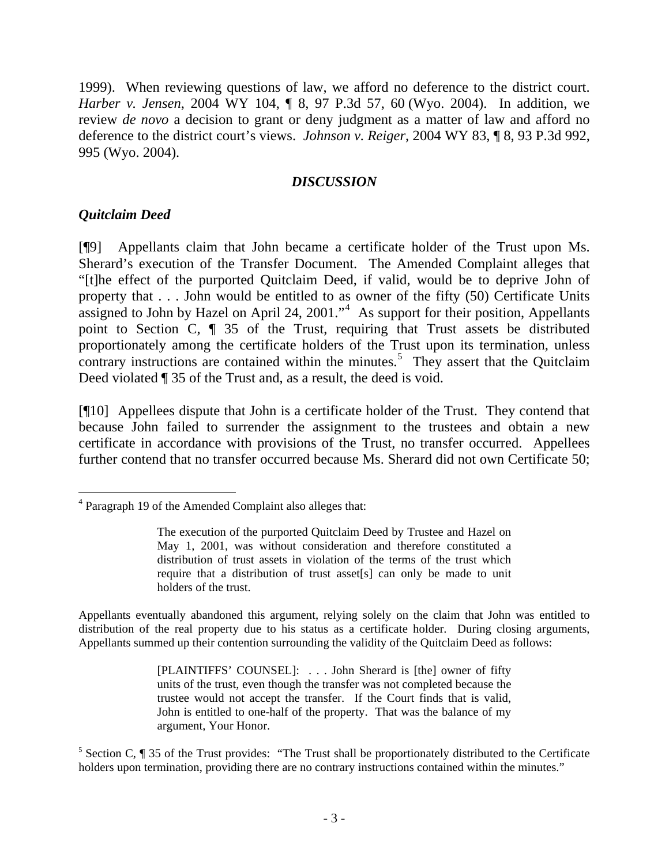1999). When reviewing questions of law, we afford no deference to the district court. *Harber v. Jensen*, 2004 WY 104, ¶ 8, 97 P.3d 57, 60 (Wyo. 2004). In addition, we review *de novo* a decision to grant or deny judgment as a matter of law and afford no deference to the district court's views. *Johnson v. Reiger*[, 2004 WY 83, ¶ 8, 93 P.3d 992,](http://www.lexis.com/research/xlink?app=00075&view=full&searchtype=get&search=2004+WY+83)  [995 \(Wyo. 2004\)](http://www.lexis.com/research/xlink?app=00075&view=full&searchtype=get&search=2004+WY+83).

## *DISCUSSION*

## *Quitclaim Deed*

[¶9] Appellants claim that John became a certificate holder of the Trust upon Ms. Sherard's execution of the Transfer Document. The Amended Complaint alleges that "[t]he effect of the purported Quitclaim Deed, if valid, would be to deprive John of property that . . . John would be entitled to as owner of the fifty (50) Certificate Units assigned to John by Hazel on April 2[4](#page-3-0), 2001."<sup>4</sup> As support for their position, Appellants point to Section C, ¶ 35 of the Trust, requiring that Trust assets be distributed proportionately among the certificate holders of the Trust upon its termination, unless contrary instructions are contained within the minutes.<sup>[5](#page-3-1)</sup> They assert that the Quitclaim Deed violated ¶ 35 of the Trust and, as a result, the deed is void.

[¶10] Appellees dispute that John is a certificate holder of the Trust. They contend that because John failed to surrender the assignment to the trustees and obtain a new certificate in accordance with provisions of the Trust, no transfer occurred. Appellees further contend that no transfer occurred because Ms. Sherard did not own Certificate 50;

Appellants eventually abandoned this argument, relying solely on the claim that John was entitled to distribution of the real property due to his status as a certificate holder. During closing arguments, Appellants summed up their contention surrounding the validity of the Quitclaim Deed as follows:

> [PLAINTIFFS' COUNSEL]: . . . John Sherard is [the] owner of fifty units of the trust, even though the transfer was not completed because the trustee would not accept the transfer. If the Court finds that is valid, John is entitled to one-half of the property. That was the balance of my argument, Your Honor.

<span id="page-3-1"></span><sup>5</sup> Section C, ¶ 35 of the Trust provides: "The Trust shall be proportionately distributed to the Certificate holders upon termination, providing there are no contrary instructions contained within the minutes."

<span id="page-3-0"></span> $\overline{a}$ 4 Paragraph 19 of the Amended Complaint also alleges that:

The execution of the purported Quitclaim Deed by Trustee and Hazel on May 1, 2001, was without consideration and therefore constituted a distribution of trust assets in violation of the terms of the trust which require that a distribution of trust asset[s] can only be made to unit holders of the trust.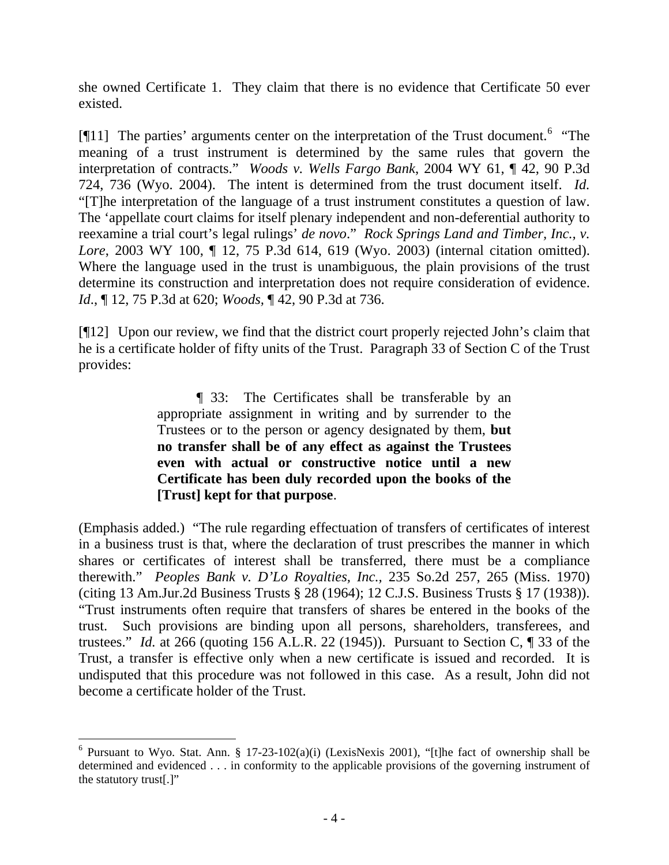she owned Certificate 1. They claim that there is no evidence that Certificate 50 ever existed.

[ $[11]$ ] The parties' arguments center on the interpretation of the Trust document.<sup>[6](#page-4-0)</sup> "The meaning of a trust instrument is determined by the same rules that govern the interpretation of contracts." *Woods v. Wells Fargo Bank*, 2004 WY 61, ¶ 42, 90 P.3d 724, 736 (Wyo. 2004). The intent is determined from the trust document itself. *Id.*  "[T]he interpretation of the language of a trust instrument constitutes a question of law. The 'appellate court claims for itself plenary independent and non-deferential authority to reexamine a trial court's legal rulings' *de novo*." *Rock Springs Land and Timber, Inc., v. Lore*, 2003 WY 100, ¶ 12, 75 P.3d 614, 619 (Wyo. 2003) (internal citation omitted). Where the language used in the trust is unambiguous, the plain provisions of the trust determine its construction and interpretation does not require consideration of evidence. *Id*., ¶ 12, 75 P.3d at 620; *Woods,* ¶ 42, 90 P.3d at 736.

[¶12] Upon our review, we find that the district court properly rejected John's claim that he is a certificate holder of fifty units of the Trust. Paragraph 33 of Section C of the Trust provides:

> ¶ 33: The Certificates shall be transferable by an appropriate assignment in writing and by surrender to the Trustees or to the person or agency designated by them, **but no transfer shall be of any effect as against the Trustees even with actual or constructive notice until a new Certificate has been duly recorded upon the books of the [Trust] kept for that purpose**.

(Emphasis added.) "The rule regarding effectuation of transfers of certificates of interest in a business trust is that, where the declaration of trust prescribes the manner in which shares or certificates of interest shall be transferred, there must be a compliance therewith." *Peoples Bank v. D'Lo Royalties, Inc.,* 235 So.2d 257, 265 (Miss. 1970) (citing 13 Am.Jur.2d Business Trusts § 28 (1964); 12 C.J.S. Business Trusts § 17 (1938)). "Trust instruments often require that transfers of shares be entered in the books of the trust. Such provisions are binding upon all persons, shareholders, transferees, and trustees." *Id.* at 266 (quoting 156 A.L.R. 22 (1945)). Pursuant to Section C, ¶ 33 of the Trust, a transfer is effective only when a new certificate is issued and recorded. It is undisputed that this procedure was not followed in this case. As a result, John did not become a certificate holder of the Trust.

 $\overline{a}$ 

<span id="page-4-0"></span><sup>&</sup>lt;sup>6</sup> Pursuant to Wyo. Stat. Ann. § 17-23-102(a)(i) (LexisNexis 2001), "[t]he fact of ownership shall be determined and evidenced . . . in conformity to the applicable provisions of the governing instrument of the statutory trust[.]"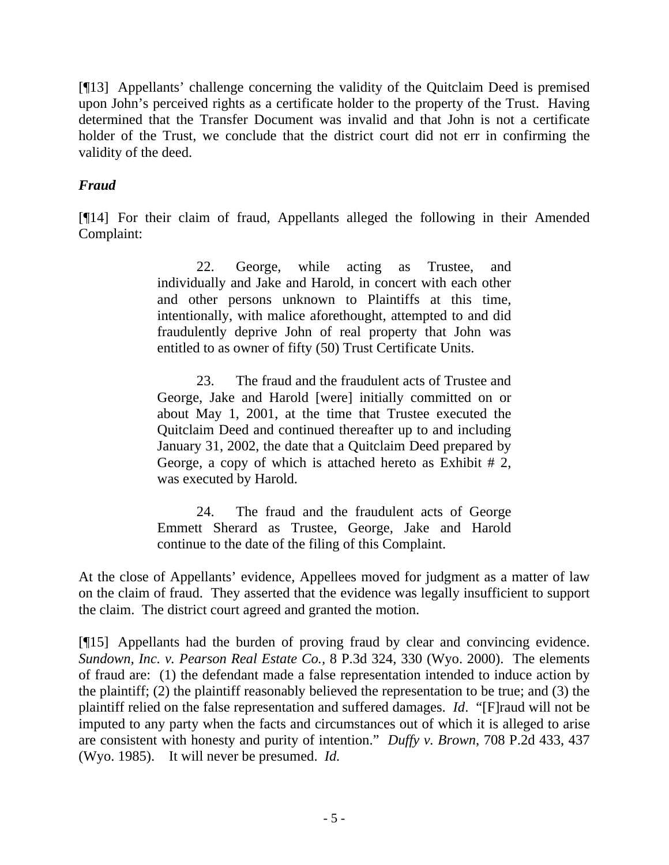[¶13] Appellants' challenge concerning the validity of the Quitclaim Deed is premised upon John's perceived rights as a certificate holder to the property of the Trust. Having determined that the Transfer Document was invalid and that John is not a certificate holder of the Trust, we conclude that the district court did not err in confirming the validity of the deed.

# *Fraud*

[¶14] For their claim of fraud, Appellants alleged the following in their Amended Complaint:

> 22. George, while acting as Trustee, and individually and Jake and Harold, in concert with each other and other persons unknown to Plaintiffs at this time, intentionally, with malice aforethought, attempted to and did fraudulently deprive John of real property that John was entitled to as owner of fifty (50) Trust Certificate Units.

> 23. The fraud and the fraudulent acts of Trustee and George, Jake and Harold [were] initially committed on or about May 1, 2001, at the time that Trustee executed the Quitclaim Deed and continued thereafter up to and including January 31, 2002, the date that a Quitclaim Deed prepared by George, a copy of which is attached hereto as Exhibit # 2, was executed by Harold.

> 24. The fraud and the fraudulent acts of George Emmett Sherard as Trustee, George, Jake and Harold continue to the date of the filing of this Complaint.

At the close of Appellants' evidence, Appellees moved for judgment as a matter of law on the claim of fraud. They asserted that the evidence was legally insufficient to support the claim. The district court agreed and granted the motion.

[¶15] Appellants had the burden of proving fraud by clear and convincing evidence. *Sundown, Inc. v. Pearson Real Estate Co.,* 8 P.3d 324, 330 (Wyo. 2000). The elements of fraud are: (1) the defendant made a false representation intended to induce action by the plaintiff; (2) the plaintiff reasonably believed the representation to be true; and (3) the plaintiff relied on the false representation and suffered damages. *Id*. "[F]raud will not be imputed to any party when the facts and circumstances out of which it is alleged to arise are consistent with honesty and purity of intention." *Duffy v. Brown*, 708 P.2d 433, 437 (Wyo. 1985). It will never be presumed. *Id.*